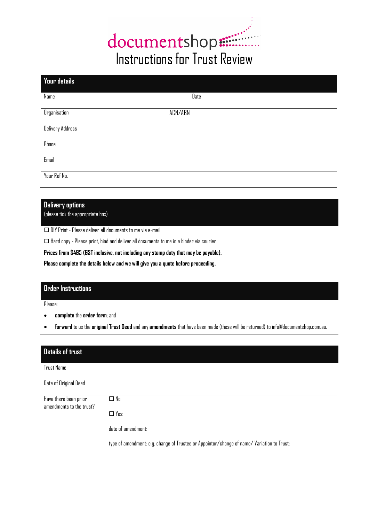# documentshop:

| Your details        |         |
|---------------------|---------|
| Name                | Date    |
| <b>Organisation</b> | ACN/ABN |
| Delivery Address    |         |
| Phone               |         |
| Email               |         |
| Your Ref No.        |         |
|                     |         |

## **Delivery options**

(please tick the appropriate box)

DIY Print - Please deliver all documents to me via e-mail

 $\Box$  Hard copy - Please print, bind and deliver all documents to me in a binder via courier

**Prices from \$495 (GST inclusive, not including any stamp duty that may be payable).**

**Please complete the details below and we will give you a quote before proceeding.**

### **Order Instructions**

Please:

- **complete** the **order form**; and
- **forward** to us the **original Trust Deed** and any **amendments** that have been made (these will be returned) to info@documentshop.com.au.

| <b>Details of trust</b>                           |                                                                                            |
|---------------------------------------------------|--------------------------------------------------------------------------------------------|
| <b>Trust Name</b>                                 |                                                                                            |
| Date of Original Deed                             |                                                                                            |
| Have there been prior<br>amendments to the trust? | $\Box$ No                                                                                  |
|                                                   | $\Box$ Yes:                                                                                |
|                                                   | date of amendment:                                                                         |
|                                                   | type of amendment: e.g. change of Trustee or Appointor/change of name/ Variation to Trust: |